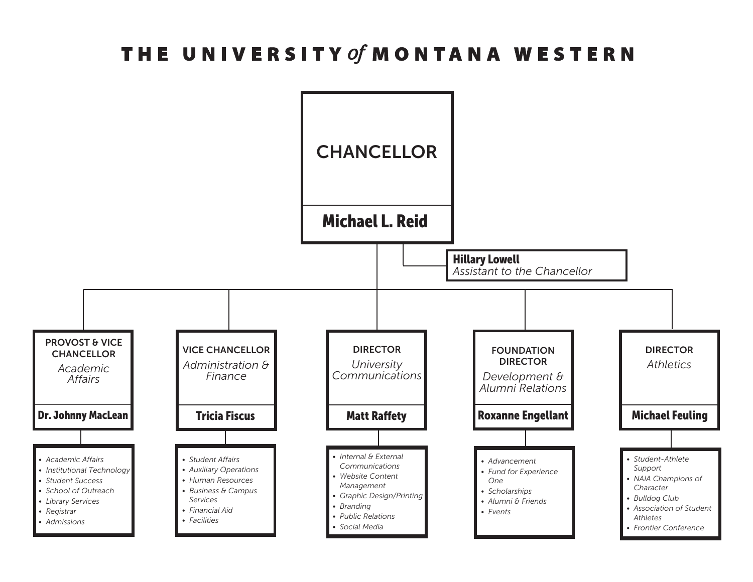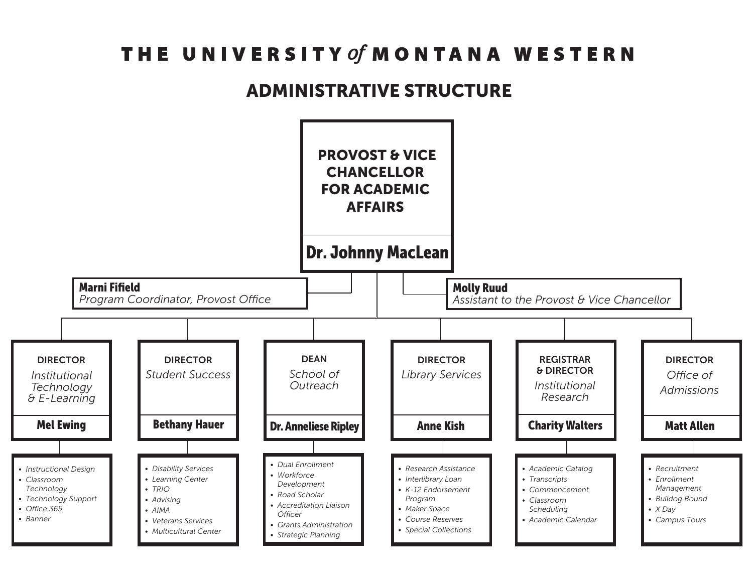#### ADMINISTRATIVE STRUCTURE

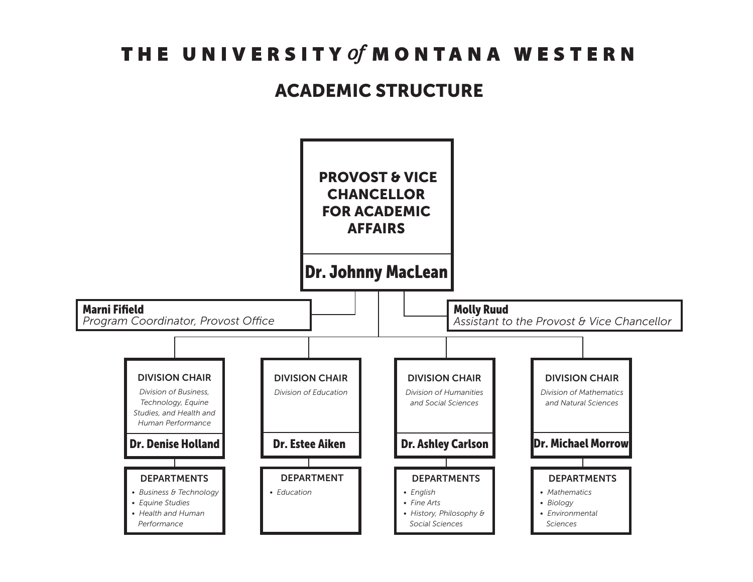#### ACADEMIC STRUCTURE